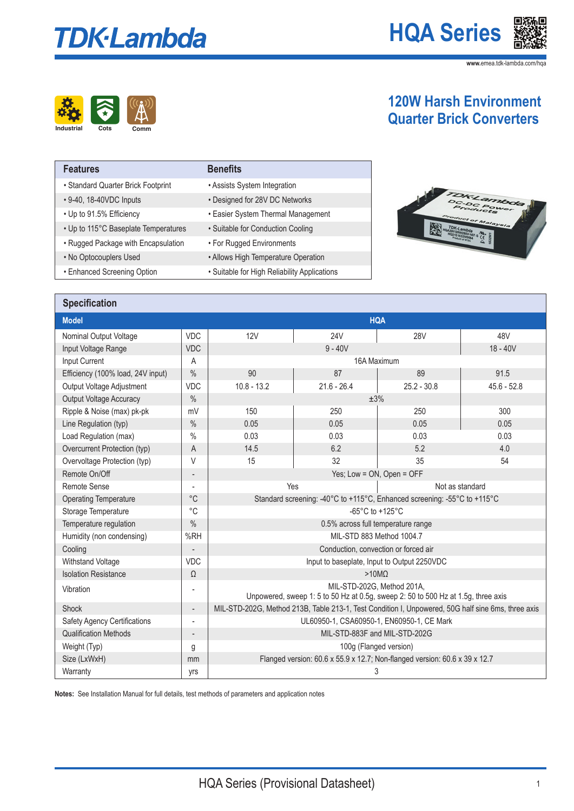# **TDK-Lambda**

**HQA Series**

**www.**emea.tdk-lambda.com/hqa



### **120W Harsh Environment Quarter Brick Converters**

| <b>Features</b>                      | <b>Benefits</b>                              |
|--------------------------------------|----------------------------------------------|
| • Standard Quarter Brick Footprint   | • Assists System Integration                 |
| • 9-40, 18-40VDC Inputs              | • Designed for 28V DC Networks               |
| • Up to 91.5% Efficiency             | • Easier System Thermal Management           |
| • Up to 115°C Baseplate Temperatures | • Suitable for Conduction Cooling            |
| • Rugged Package with Encapsulation  | • For Rugged Environments                    |
| • No Optocouplers Used               | • Allows High Temperature Operation          |
| • Enhanced Screening Option          | • Suitable for High Reliability Applications |

### **Specification**

|                                     |                              | <b>HQA</b>                                                                                                      |               |               |               |
|-------------------------------------|------------------------------|-----------------------------------------------------------------------------------------------------------------|---------------|---------------|---------------|
| Nominal Output Voltage              | <b>VDC</b>                   | 12V                                                                                                             | <b>24V</b>    | <b>28V</b>    | 48V           |
| Input Voltage Range                 | <b>VDC</b>                   |                                                                                                                 | $9 - 40V$     |               | $18 - 40V$    |
| Input Current                       | A                            | 16A Maximum                                                                                                     |               |               |               |
| Efficiency (100% load, 24V input)   | $\%$                         | 90                                                                                                              | 87            | 89            | 91.5          |
| Output Voltage Adjustment           | <b>VDC</b>                   | $10.8 - 13.2$                                                                                                   | $21.6 - 26.4$ | $25.2 - 30.8$ | $45.6 - 52.8$ |
| Output Voltage Accuracy             | $\%$                         | ±3%                                                                                                             |               |               |               |
| Ripple & Noise (max) pk-pk          | mV                           | 150                                                                                                             | 250           | 250           | 300           |
| Line Regulation (typ)               | $\%$                         | 0.05                                                                                                            | 0.05          | 0.05          | 0.05          |
| Load Regulation (max)               | $\%$                         | 0.03                                                                                                            | 0.03          | 0.03          | 0.03          |
| Overcurrent Protection (typ)        | A                            | 14.5                                                                                                            | 6.2           | 5.2           | 4.0           |
| Overvoltage Protection (typ)        | V                            | 15                                                                                                              | 32            | 35            | 54            |
| Remote On/Off                       |                              | Yes; Low = ON, Open = OFF                                                                                       |               |               |               |
| Remote Sense                        | $\overline{a}$               | Yes<br>Not as standard                                                                                          |               |               |               |
| <b>Operating Temperature</b>        | $^{\circ}C$                  | Standard screening: -40°C to +115°C, Enhanced screening: -55°C to +115°C                                        |               |               |               |
| Storage Temperature                 | $^{\circ}C$                  | -65°C to +125°C                                                                                                 |               |               |               |
| Temperature regulation              | $\%$                         | 0.5% across full temperature range                                                                              |               |               |               |
| Humidity (non condensing)           | %RH                          | MIL-STD 883 Method 1004.7                                                                                       |               |               |               |
| Cooling                             |                              | Conduction, convection or forced air                                                                            |               |               |               |
| Withstand Voltage                   | <b>VDC</b>                   | Input to baseplate, Input to Output 2250VDC                                                                     |               |               |               |
| <b>Isolation Resistance</b>         | $\Omega$                     | $>10M\Omega$                                                                                                    |               |               |               |
| Vibration                           | $\overline{a}$               | MIL-STD-202G, Method 201A,<br>Unpowered, sweep 1: 5 to 50 Hz at 0.5g, sweep 2: 50 to 500 Hz at 1.5g, three axis |               |               |               |
| <b>Shock</b>                        | $\qquad \qquad -$            | MIL-STD-202G, Method 213B, Table 213-1, Test Condition I, Unpowered, 50G half sine 6ms, three axis              |               |               |               |
| <b>Safety Agency Certifications</b> | $\overline{a}$               | UL60950-1, CSA60950-1, EN60950-1, CE Mark                                                                       |               |               |               |
| <b>Qualification Methods</b>        | $\qquad \qquad \blacksquare$ | MIL-STD-883F and MIL-STD-202G                                                                                   |               |               |               |
| Weight (Typ)                        | g                            | 100g (Flanged version)                                                                                          |               |               |               |
| Size (LxWxH)                        | mm                           | Flanged version: 60.6 x 55.9 x 12.7; Non-flanged version: 60.6 x 39 x 12.7                                      |               |               |               |
| Warranty                            | yrs                          | 3                                                                                                               |               |               |               |

**Notes:** See Installation Manual for full details, test methods of parameters and application notes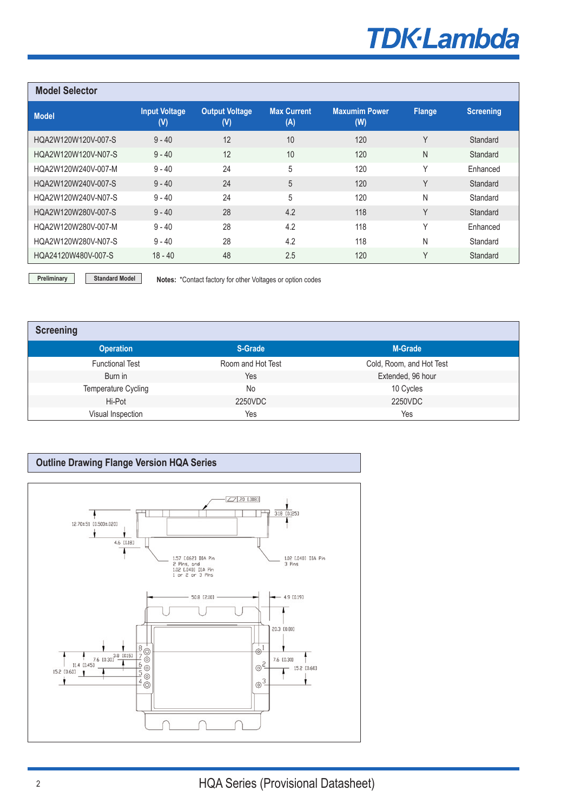## **TDK-Lambda**

| <b>Model Selector</b> |                             |                                         |                           |                             |               |                  |
|-----------------------|-----------------------------|-----------------------------------------|---------------------------|-----------------------------|---------------|------------------|
| <b>Model</b>          | <b>Input Voltage</b><br>(V) | <b>Output Voltage</b><br>$(\mathsf{V})$ | <b>Max Current</b><br>(A) | <b>Maxumim Power</b><br>(W) | <b>Flange</b> | <b>Screening</b> |
| HQA2W120W120V-007-S   | $9 - 40$                    | 12                                      | 10                        | 120                         | Υ             | Standard         |
| HQA2W120W120V-N07-S   | $9 - 40$                    | 12                                      | 10                        | 120                         | N             | Standard         |
| HQA2W120W240V-007-M   | $9 - 40$                    | 24                                      | 5                         | 120                         | $\vee$        | Enhanced         |
| HQA2W120W240V-007-S   | $9 - 40$                    | 24                                      | 5                         | 120                         | $\vee$        | Standard         |
| HQA2W120W240V-N07-S   | $9 - 40$                    | 24                                      | 5                         | 120                         | N             | Standard         |
| HQA2W120W280V-007-S   | $9 - 40$                    | 28                                      | 4.2                       | 118                         | Υ             | Standard         |
| HOA2W120W280V-007-M   | $9 - 40$                    | 28                                      | 4.2                       | 118                         | ٧             | Enhanced         |
| HQA2W120W280V-N07-S   | $9 - 40$                    | 28                                      | 4.2                       | 118                         | Ν             | Standard         |
| HQA24120W480V-007-S   | $18 - 40$                   | 48                                      | 2.5                       | 120                         | Υ             | Standard         |

**Preliminary Standard Model Notes: \*Contact factory for other Voltages or option codes** 

| <b>Screening</b>       |                   |                          |
|------------------------|-------------------|--------------------------|
| <b>Operation</b>       | S-Grade           | <b>M-Grade</b>           |
| <b>Functional Test</b> | Room and Hot Test | Cold, Room, and Hot Test |
| Burn in                | Yes               | Extended, 96 hour        |
| Temperature Cycling    | No                | 10 Cycles                |
| Hi-Pot                 | 2250VDC           | 2250VDC                  |
| Visual Inspection      | Yes               | Yes                      |

#### **Outline Drawing Flange Version HQA Series**

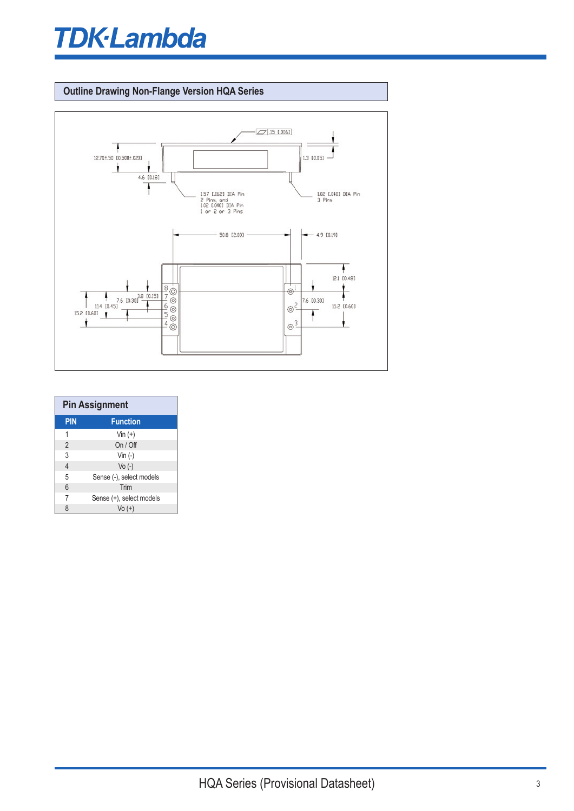## **TDK**·Lambda

#### **Outline Drawing Non-Flange Version HQA Series**



| <b>Pin Assignment</b> |                          |  |
|-----------------------|--------------------------|--|
| <b>PIN</b>            | <b>Function</b>          |  |
| 1                     | $V$ in $(+)$             |  |
| $\overline{2}$        | On / Off                 |  |
| 3                     | Vin $(-)$                |  |
| $\overline{4}$        | $Vo(-)$                  |  |
| 5                     | Sense (-), select models |  |
| 6                     | Trim                     |  |
| $\overline{7}$        | Sense (+), select models |  |
| 8                     | $Vo (+)$                 |  |